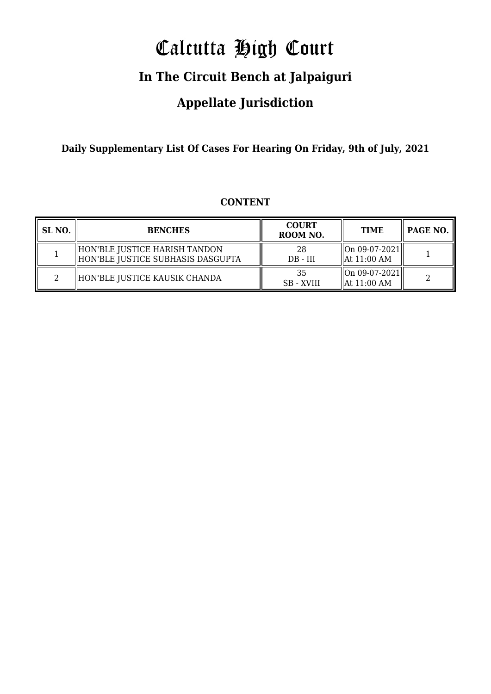# Calcutta High Court

### **In The Circuit Bench at Jalpaiguri**

### **Appellate Jurisdiction**

**Daily Supplementary List Of Cases For Hearing On Friday, 9th of July, 2021**

#### **CONTENT**

| SL NO. | <b>BENCHES</b>                                                     | <b>COURT</b><br>ROOM NO. | <b>TIME</b>                                | PAGE NO. |
|--------|--------------------------------------------------------------------|--------------------------|--------------------------------------------|----------|
|        | HON'BLE JUSTICE HARISH TANDON<br>HON'BLE JUSTICE SUBHASIS DASGUPTA | 28<br>$DB - III$         | On 09-07-2021  <br>$\parallel$ At 11:00 AM |          |
|        | HON'BLE JUSTICE KAUSIK CHANDA                                      | 35<br><b>SB</b> - XVIII  | $\ $ On 09-07-2021 $\ $<br>  At 11:00 AM   |          |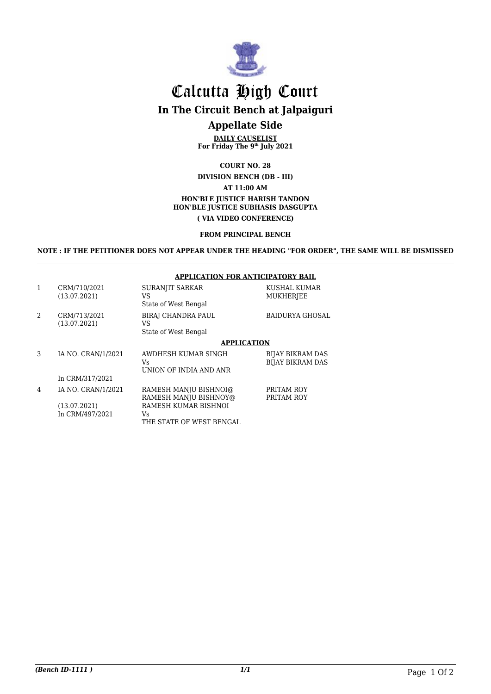

### Calcutta High Court **In The Circuit Bench at Jalpaiguri Appellate Side**

**DAILY CAUSELIST For Friday The 9th July 2021**

#### **COURT NO. 28 DIVISION BENCH (DB - III) AT 11:00 AM HON'BLE JUSTICE HARISH TANDON HON'BLE JUSTICE SUBHASIS DASGUPTA ( VIA VIDEO CONFERENCE)**

#### **FROM PRINCIPAL BENCH**

**NOTE : IF THE PETITIONER DOES NOT APPEAR UNDER THE HEADING "FOR ORDER", THE SAME WILL BE DISMISSED**

#### **APPLICATION FOR ANTICIPATORY BAIL**

| $\mathbf{1}$   | CRM/710/2021<br>(13.07.2021) | <b>SURANJIT SARKAR</b><br>VS<br>State of West Bengal    | KUSHAL KUMAR<br><b>MUKHERJEE</b>            |
|----------------|------------------------------|---------------------------------------------------------|---------------------------------------------|
| $\mathfrak{D}$ | CRM/713/2021<br>(13.07.2021) | <b>BIRAI CHANDRA PAUL</b><br>VS<br>State of West Bengal | <b>BAIDURYA GHOSAL</b>                      |
|                |                              | <b>APPLICATION</b>                                      |                                             |
| 3              | IA NO. CRAN/1/2021           | AWDHESH KUMAR SINGH<br>Vs.<br>UNION OF INDIA AND ANR    | BIJAY BIKRAM DAS<br><b>BIJAY BIKRAM DAS</b> |
|                | In CRM/317/2021              |                                                         |                                             |
| 4              | IA NO. CRAN/1/2021           | RAMESH MANJU BISHNOI@<br>RAMESH MANJU BISHNOY@          | PRITAM ROY<br>PRITAM ROY                    |
|                | (13.07.2021)                 | RAMESH KUMAR BISHNOI                                    |                                             |
|                | In CRM/497/2021              | Vs                                                      |                                             |

THE STATE OF WEST BENGAL